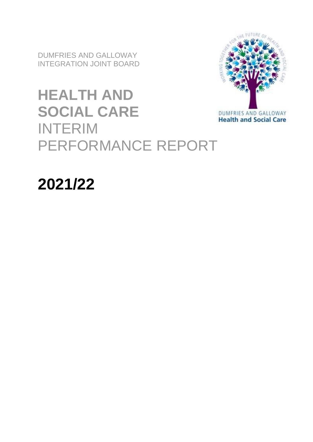DUMFRIES AND GALLOWAY INTEGRATION JOINT BOARD

# **HEALTH AND SOCIAL CARE** INTERIM PERFORMANCE REPORT



# **2021/22**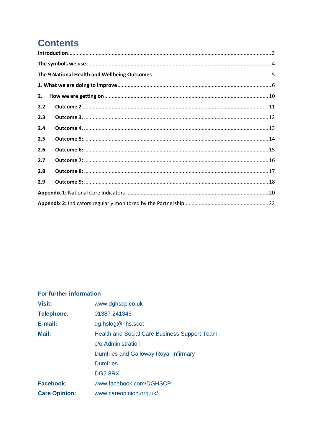# **Contents**

| 2.  |  |
|-----|--|
| 2.2 |  |
| 2.3 |  |
| 2.4 |  |
| 2.5 |  |
| 2.6 |  |
| 2.7 |  |
| 2.8 |  |
| 2.9 |  |
|     |  |
|     |  |

#### For further information

| <b>Visit:</b>        | www.dghscp.co.uk                                    |
|----------------------|-----------------------------------------------------|
| <b>Telephone:</b>    | 01387 241346                                        |
| E-mail:              | dg.hslog@nhs.scot                                   |
| Mail:                | <b>Health and Social Care Business Support Team</b> |
|                      | c/o Administration                                  |
|                      | Dumfries and Galloway Royal Infirmary               |
|                      | <b>Dumfries</b>                                     |
|                      | DG28RX                                              |
| <b>Facebook:</b>     | www.facebook.com/DGHSCP                             |
| <b>Care Opinion:</b> | www.careopinion.org.uk/                             |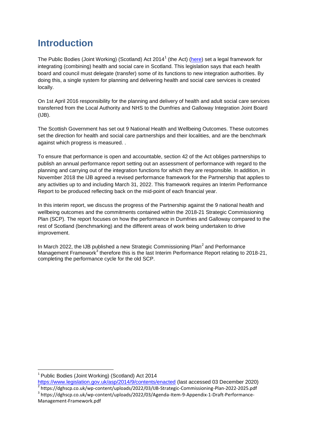# <span id="page-2-0"></span>**Introduction**

The Public Bodies (Joint Working) (Scotland) Act 2014<sup>1</sup> (the Act) [\(here\)](http://www.legislation.gov.uk/asp/2014/9/contents/enacted) set a legal framework for integrating (combining) health and social care in Scotland. This legislation says that each health board and council must delegate (transfer) some of its functions to new integration authorities. By doing this, a single system for planning and delivering health and social care services is created locally.

On 1st April 2016 responsibility for the planning and delivery of health and adult social care services transferred from the Local Authority and NHS to the Dumfries and Galloway Integration Joint Board (IJB).

The Scottish Government has set out 9 National Health and Wellbeing Outcomes. These outcomes set the direction for health and social care partnerships and their localities, and are the benchmark against which progress is measured. .

To ensure that performance is open and accountable, section 42 of the Act obliges partnerships to publish an annual performance report setting out an assessment of performance with regard to the planning and carrying out of the integration functions for which they are responsible. In addition, in November 2018 the IJB agreed a revised performance framework for the Partnership that applies to any activities up to and including March 31, 2022. This framework requires an Interim Performance Report to be produced reflecting back on the mid-point of each financial year.

In this interim report, we discuss the progress of the Partnership against the 9 national health and wellbeing outcomes and the commitments contained within the 2018-21 Strategic Commissioning Plan (SCP). The report focuses on how the performance in Dumfries and Galloway compared to the rest of Scotland (benchmarking) and the different areas of work being undertaken to drive improvement.

In March 2022, the IJB published a new Strategic Commissioning Plan $^2$  and Performance Management Framework<sup>3</sup> therefore this is the last Interim Performance Report relating to 2018-21, completing the performance cycle for the old SCP.

<span id="page-2-1"></span><sup>1</sup> <sup>1</sup> Public Bodies (Joint Working) (Scotland) Act 2014

<https://www.legislation.gov.uk/asp/2014/9/contents/enacted> (last accessed 03 December 2020) <sup>2</sup> https://dghscp.co.uk/wp-content/uploads/2022/03/IJB-Strategic-Commissioning-Plan-2022-2025.pdf

<sup>3</sup> https://dghscp.co.uk/wp-content/uploads/2022/03/Agenda-Item-9-Appendix-1-Draft-Performance-Management-Framework.pdf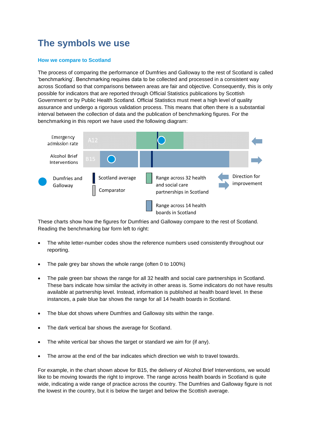# **The symbols we use**

#### **How we compare to Scotland**

The process of comparing the performance of Dumfries and Galloway to the rest of Scotland is called 'benchmarking'. Benchmarking requires data to be collected and processed in a consistent way across Scotland so that comparisons between areas are fair and objective. Consequently, this is only possible for indicators that are reported through Official Statistics publications by Scottish Government or by Public Health Scotland. Official Statistics must meet a high level of quality assurance and undergo a rigorous validation process. This means that often there is a substantial interval between the collection of data and the publication of benchmarking figures. For the benchmarking in this report we have used the following diagram:



These charts show how the figures for Dumfries and Galloway compare to the rest of Scotland. Reading the benchmarking bar form left to right:

- The white letter-number codes show the reference numbers used consistently throughout our reporting.
- The pale grey bar shows the whole range (often 0 to 100%)
- The pale green bar shows the range for all 32 health and social care partnerships in Scotland. These bars indicate how similar the activity in other areas is. Some indicators do not have results available at partnership level. Instead, information is published at health board level. In these instances, a pale blue bar shows the range for all 14 health boards in Scotland.
- The blue dot shows where Dumfries and Galloway sits within the range.
- The dark vertical bar shows the average for Scotland.
- The white vertical bar shows the target or standard we aim for (if any).
- The arrow at the end of the bar indicates which direction we wish to travel towards.

For example, in the chart shown above for B15, the delivery of Alcohol Brief Interventions, we would like to be moving towards the right to improve. The range across health boards in Scotland is quite wide, indicating a wide range of practice across the country. The Dumfries and Galloway figure is not the lowest in the country, but it is below the target and below the Scottish average.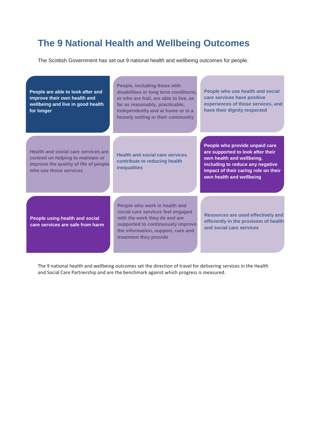# <span id="page-4-0"></span>**The 9 National Health and Wellbeing Outcomes**

The Scottish Government has set out 9 national health and wellbeing outcomes for people.

 $\mathcal{L}$ 

| People are able to look after and<br>improve their own health and<br>wellbeing and live in good health<br>for longer                        | People, including those with<br>disabilities or long term conditions,<br>or who are frail, are able to live, as<br>far as reasonably, practicable,<br>independently and at home or in a<br>homely setting in their community | People who use health and social<br>care services have positive<br>experiences of those services, and<br>have their dignity respected                                                                    |
|---------------------------------------------------------------------------------------------------------------------------------------------|------------------------------------------------------------------------------------------------------------------------------------------------------------------------------------------------------------------------------|----------------------------------------------------------------------------------------------------------------------------------------------------------------------------------------------------------|
| Health and social care services are<br>centred on helping to maintain or<br>improve the quality of life of people<br>who use those services | <b>Health and social care services</b><br>contribute to reducing health<br><b>inequalities</b>                                                                                                                               | People who provide unpaid care<br>are supported to look after their<br>own health and wellbeing,<br>including to reduce any negative<br>impact of their caring role on their<br>own health and wellbeing |
| People using health and social<br>care services are safe from harm                                                                          | People who work in health and<br>social care services feel engaged<br>with the work they do and are<br>supported to continuously improve<br>the information, support, care and<br>treatment they provide                     | Resources are used effectively and<br>efficiently in the provision of health<br>and social care services                                                                                                 |

The 9 national health and wellbeing outcomes set the direction of travel for delivering services in the Health and Social Care Partnership and are the benchmark against which progress is measured.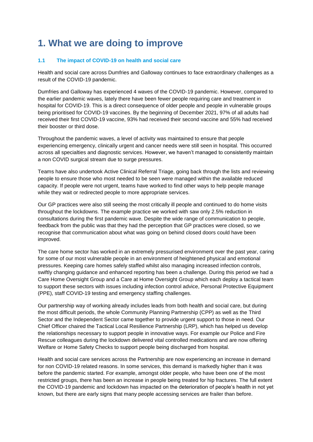# <span id="page-5-0"></span>**1. What we are doing to improve**

#### **1.1 The impact of COVID-19 on health and social care**

Health and social care across Dumfries and Galloway continues to face extraordinary challenges as a result of the COVID-19 pandemic.

Dumfries and Galloway has experienced 4 waves of the COVID-19 pandemic. However, compared to the earlier pandemic waves, lately there have been fewer people requiring care and treatment in hospital for COVID-19. This is a direct consequence of older people and people in vulnerable groups being prioritised for COVID-19 vaccines. By the beginning of December 2021, 97% of all adults had received their first COVID-19 vaccine, 93% had received their second vaccine and 55% had received their booster or third dose.

Throughout the pandemic waves, a level of activity was maintained to ensure that people experiencing emergency, clinically urgent and cancer needs were still seen in hospital. This occurred across all specialties and diagnostic services. However, we haven't managed to consistently maintain a non COVID surgical stream due to surge pressures.

Teams have also undertook Active Clinical Referral Triage, going back through the lists and reviewing people to ensure those who most needed to be seen were managed within the available reduced capacity. If people were not urgent, teams have worked to find other ways to help people manage while they wait or redirected people to more appropriate services.

Our GP practices were also still seeing the most critically ill people and continued to do home visits throughout the lockdowns. The example practice we worked with saw only 2.5% reduction in consultations during the first pandemic wave. Despite the wide range of communication to people, feedback from the public was that they had the perception that GP practices were closed, so we recognise that communication about what was going on behind closed doors could have been improved.

The care home sector has worked in an extremely pressurised environment over the past year, caring for some of our most vulnerable people in an environment of heightened physical and emotional pressures. Keeping care homes safely staffed whilst also managing increased infection controls, swiftly changing guidance and enhanced reporting has been a challenge. During this period we had a Care Home Oversight Group and a Care at Home Oversight Group which each deploy a tactical team to support these sectors with issues including infection control advice, Personal Protective Equipment (PPE), staff COVID-19 testing and emergency staffing challenges.

Our partnership way of working already includes leads from both health and social care, but during the most difficult periods, the whole Community Planning Partnership (CPP) as well as the Third Sector and the Independent Sector came together to provide urgent support to those in need. Our Chief Officer chaired the Tactical Local Resilience Partnership (LRP), which has helped us develop the relationships necessary to support people in innovative ways. For example our Police and Fire Rescue colleagues during the lockdown delivered vital controlled medications and are now offering Welfare or Home Safety Checks to support people being discharged from hospital.

Health and social care services across the Partnership are now experiencing an increase in demand for non COVID-19 related reasons. In some services, this demand is markedly higher than it was before the pandemic started. For example, amongst older people, who have been one of the most restricted groups, there has been an increase in people being treated for hip fractures. The full extent the COVID-19 pandemic and lockdown has impacted on the deterioration of people's health in not yet known, but there are early signs that many people accessing services are frailer than before.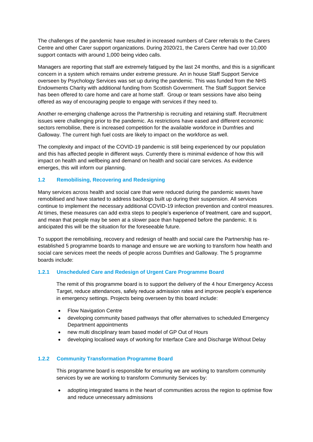The challenges of the pandemic have resulted in increased numbers of Carer referrals to the Carers Centre and other Carer support organizations. During 2020/21, the Carers Centre had over 10,000 support contacts with around 1,000 being video calls.

Managers are reporting that staff are extremely fatigued by the last 24 months, and this is a significant concern in a system which remains under extreme pressure. An in house Staff Support Service overseen by Psychology Services was set up during the pandemic. This was funded from the NHS Endowments Charity with additional funding from Scottish Government. The Staff Support Service has been offered to care home and care at home staff. Group or team sessions have also being offered as way of encouraging people to engage with services if they need to.

Another re-emerging challenge across the Partnership is recruiting and retaining staff. Recruitment issues were challenging prior to the pandemic. As restrictions have eased and different economic sectors remobilise, there is increased competition for the available workforce in Dumfries and Galloway. The current high fuel costs are likely to impact on the workforce as well.

The complexity and impact of the COVID-19 pandemic is still being experienced by our population and this has affected people in different ways. Currently there is minimal evidence of how this will impact on health and wellbeing and demand on health and social care services. As evidence emerges, this will inform our planning.

#### **1.2 Remobilising, Recovering and Redesigning**

Many services across health and social care that were reduced during the pandemic waves have remobilised and have started to address backlogs built up during their suspension. All services continue to implement the necessary additional COVID-19 infection prevention and control measures. At times, these measures can add extra steps to people's experience of treatment, care and support, and mean that people may be seen at a slower pace than happened before the pandemic. It is anticipated this will be the situation for the foreseeable future.

To support the remobilising, recovery and redesign of health and social care the Partnership has reestablished 5 programme boards to manage and ensure we are working to transform how health and social care services meet the needs of people across Dumfries and Galloway. The 5 programme boards include:

#### **1.2.1 Unscheduled Care and Redesign of Urgent Care Programme Board**

The remit of this programme board is to support the delivery of the 4 hour Emergency Access Target, reduce attendances, safely reduce admission rates and improve people's experience in emergency settings. Projects being overseen by this board include:

- Flow Navigation Centre
- developing community based pathways that offer alternatives to scheduled Emergency Department appointments
- new multi disciplinary team based model of GP Out of Hours
- developing localised ways of working for Interface Care and Discharge Without Delay

#### **1.2.2 Community Transformation Programme Board**

This programme board is responsible for ensuring we are working to transform community services by we are working to transform Community Services by:

 adopting integrated teams in the heart of communities across the region to optimise flow and reduce unnecessary admissions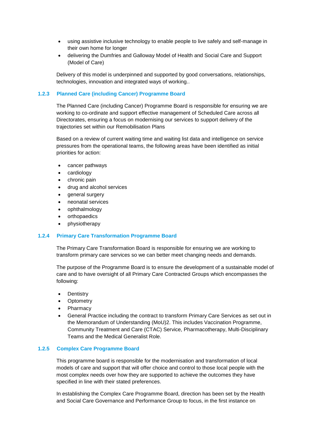- using assistive inclusive technology to enable people to live safely and self-manage in their own home for longer
- delivering the Dumfries and Galloway Model of Health and Social Care and Support (Model of Care)

Delivery of this model is underpinned and supported by good conversations, relationships, technologies, innovation and integrated ways of working..

#### **1.2.3 Planned Care (including Cancer) Programme Board**

The Planned Care (including Cancer) Programme Board is responsible for ensuring we are working to co-ordinate and support effective management of Scheduled Care across all Directorates, ensuring a focus on modernising our services to support delivery of the trajectories set within our Remobilisation Plans

Based on a review of current waiting time and waiting list data and intelligence on service pressures from the operational teams, the following areas have been identified as initial priorities for action:

- cancer pathways
- cardiology
- chronic pain
- drug and alcohol services
- general surgery
- neonatal services
- ophthalmology
- orthopaedics
- physiotherapy

#### **1.2.4 Primary Care Transformation Programme Board**

The Primary Care Transformation Board is responsible for ensuring we are working to transform primary care services so we can better meet changing needs and demands.

The purpose of the Programme Board is to ensure the development of a sustainable model of care and to have oversight of all Primary Care Contracted Groups which encompasses the following:

- **Dentistry**
- **Optometry**
- Pharmacy
- General Practice including the contract to transform Primary Care Services as set out in the Memorandum of Understanding (MoU)2. This includes Vaccination Programme, Community Treatment and Care (CTAC) Service, Pharmacotherapy, Multi-Disciplinary Teams and the Medical Generalist Role.

#### **1.2.5 Complex Care Programme Board**

This programme board is responsible for the modernisation and transformation of local models of care and support that will offer choice and control to those local people with the most complex needs over how they are supported to achieve the outcomes they have specified in line with their stated preferences.

In establishing the Complex Care Programme Board, direction has been set by the Health and Social Care Governance and Performance Group to focus, in the first instance on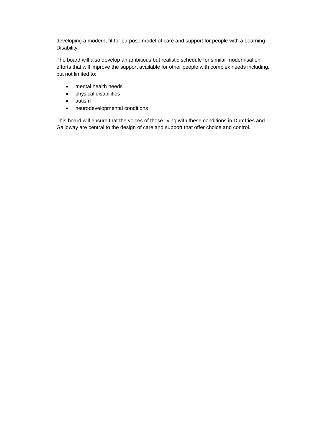developing a modern, fit for purpose model of care and support for people with a Learning Disability.

The board will also develop an ambitious but realistic schedule for similar modernisation efforts that will improve the support available for other people with complex needs including, but not limited to:

- mental health needs
- physical disabilities
- autism
- neurodevelopmental conditions

This board will ensure that the voices of those living with these conditions in Dumfries and Galloway are central to the design of care and support that offer choice and control.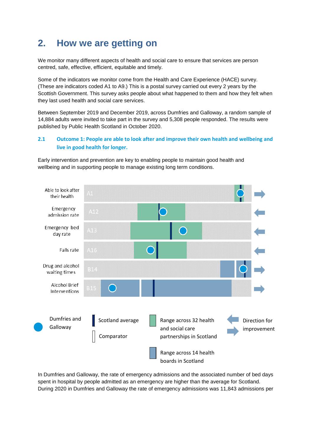# <span id="page-9-0"></span>**2. How we are getting on**

We monitor many different aspects of health and social care to ensure that services are person centred, safe, effective, efficient, equitable and timely.

Some of the indicators we monitor come from the Health and Care Experience (HACE) survey. (These are indicators coded A1 to A9.) This is a postal survey carried out every 2 years by the Scottish Government. This survey asks people about what happened to them and how they felt when they last used health and social care services.

Between September 2019 and December 2019, across Dumfries and Galloway, a random sample of 14,884 adults were invited to take part in the survey and 5,308 people responded. The results were published by Public Health Scotland in October 2020.

#### **2.1 Outcome 1: People are able to look after and improve their own health and wellbeing and live in good health for longer.**

Early intervention and prevention are key to enabling people to maintain good health and wellbeing and in supporting people to manage existing long term conditions.



In Dumfries and Galloway, the rate of emergency admissions and the associated number of bed days spent in hospital by people admitted as an emergency are higher than the average for Scotland. During 2020 in Dumfries and Galloway the rate of emergency admissions was 11,843 admissions per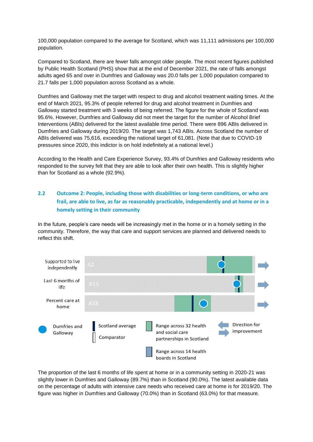100,000 population compared to the average for Scotland, which was 11,111 admissions per 100,000 population.

Compared to Scotland, there are fewer falls amongst older people. The most recent figures published by Public Health Scotland (PHS) show that at the end of December 2021, the rate of falls amongst adults aged 65 and over in Dumfries and Galloway was 20.0 falls per 1,000 population compared to 21.7 falls per 1,000 population across Scotland as a whole.

Dumfries and Galloway met the target with respect to drug and alcohol treatment waiting times. At the end of March 2021, 95.3% of people referred for drug and alcohol treatment in Dumfries and Galloway started treatment with 3 weeks of being referred. The figure for the whole of Scotland was 95.6%. However, Dumfries and Galloway did not meet the target for the number of Alcohol Brief Interventions (ABIs) delivered for the latest available time period. There were 896 ABIs delivered in Dumfries and Galloway during 2019/20. The target was 1,743 ABIs. Across Scotland the number of ABIs delivered was 75,616, exceeding the national target of 61,081. (Note that due to COVID-19 pressures since 2020, this indictor is on hold indefinitely at a national level.)

According to the Health and Care Experience Survey, 93.4% of Dumfries and Galloway residents who responded to the survey felt that they are able to look after their own health. This is slightly higher than for Scotland as a whole (92.9%).

#### <span id="page-10-0"></span>**2.2 Outcome 2: People, including those with disabilities or long-term conditions, or who are frail, are able to live, as far as reasonably practicable, independently and at home or in a homely setting in their community**

In the future, people's care needs will be increasingly met in the home or in a homely setting in the community. Therefore, the way that care and support services are planned and delivered needs to reflect this shift.



The proportion of the last 6 months of life spent at home or in a community setting in 2020-21 was slightly lower in Dumfries and Galloway (89.7%) than in Scotland (90.0%). The latest available data on the percentage of adults with intensive care needs who received care at home is for 2019/20. The figure was higher in Dumfries and Galloway (70.0%) than in Scotland (63.0%) for that measure.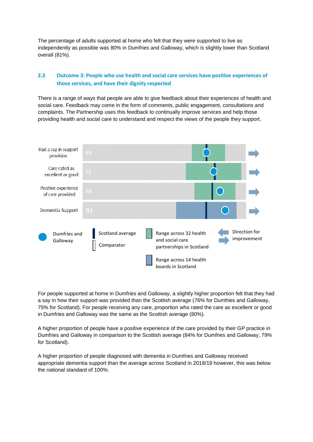The percentage of adults supported at home who felt that they were supported to live as independently as possible was 80% in Dumfries and Galloway, which is slightly lower than Scotland overall (81%).

#### <span id="page-11-0"></span>**2.3 Outcome 3: People who use health and social care services have positive experiences of those services, and have their dignity respected**

There is a range of ways that people are able to give feedback about their experiences of health and social care. Feedback may come in the form of comments, public engagement, consultations and complaints. The Partnership uses this feedback to continually improve services and help those providing health and social care to understand and respect the views of the people they support.



For people supported at home in Dumfries and Galloway, a slightly higher proportion felt that they had a say in how their support was provided than the Scottish average (76% for Dumfries and Galloway, 75% for Scotland). For people receiving any care, proportion who rated the care as excellent or good in Dumfries and Galloway was the same as the Scottish average (80%).

A higher proportion of people have a positive experience of the care provided by their GP practice in Dumfries and Galloway in comparison to the Scottish average (84% for Dumfries and Galloway, 79% for Scotland).

A higher proportion of people diagnosed with dementia in Dumfries and Galloway received appropriate dementia support than the average across Scotland in 2018/19 however, this was below the national standard of 100%.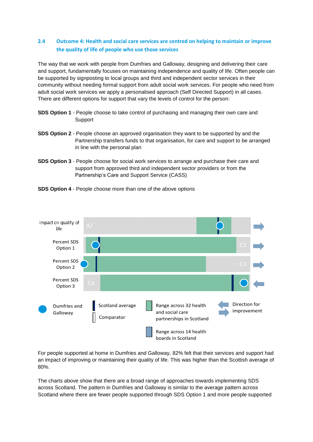#### <span id="page-12-0"></span>**2.4 Outcome 4: Health and social care services are centred on helping to maintain or improve the quality of life of people who use those services**

The way that we work with people from Dumfries and Galloway, designing and delivering their care and support, fundamentally focuses on maintaining independence and quality of life. Often people can be supported by signposting to local groups and third and independent sector services in their community without needing formal support from adult social work services. For people who need from adult social work services we apply a personalised approach (Self Directed Support) in all cases. There are different options for support that vary the levels of control for the person:

- **SDS Option 1** People choose to take control of purchasing and managing their own care and Support
- **SDS Option 2** People choose an approved organisation they want to be supported by and the Partnership transfers funds to that organisation, for care and support to be arranged in line with the personal plan
- **SDS Option 3** People choose for social work services to arrange and purchase their care and support from approved third and independent sector providers or from the Partnership's Care and Support Service (CASS)





For people supported at home in Dumfries and Galloway, 82% felt that their services and support had an impact of improving or maintaining their quality of life. This was higher than the Scottish average of 80%.

The charts above show that there are a broad range of approaches towards implementing SDS across Scotland. The pattern in Dumfries and Galloway is similar to the average pattern across Scotland where there are fewer people supported through SDS Option 1 and more people supported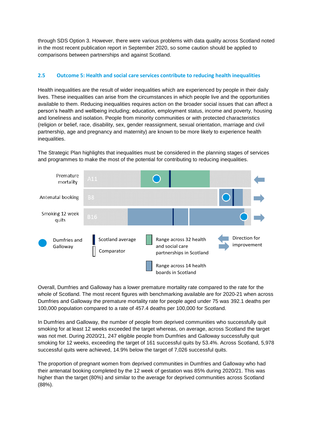through SDS Option 3. However, there were various problems with data quality across Scotland noted in the most recent publication report in September 2020, so some caution should be applied to comparisons between partnerships and against Scotland.

#### <span id="page-13-0"></span>**2.5 Outcome 5: Health and social care services contribute to reducing health inequalities**

Health inequalities are the result of wider inequalities which are experienced by people in their daily lives. These inequalities can arise from the circumstances in which people live and the opportunities available to them. Reducing inequalities requires action on the broader social issues that can affect a person's health and wellbeing including; education, employment status, income and poverty, housing and loneliness and isolation. People from minority communities or with protected characteristics (religion or belief, race, disability, sex, gender reassignment, sexual orientation, marriage and civil partnership, age and pregnancy and maternity) are known to be more likely to experience health inequalities.

The Strategic Plan highlights that inequalities must be considered in the planning stages of services and programmes to make the most of the potential for contributing to reducing inequalities.



Overall, Dumfries and Galloway has a lower premature mortality rate compared to the rate for the whole of Scotland. The most recent figures with benchmarking available are for 2020-21 when across Dumfries and Galloway the premature mortality rate for people aged under 75 was 392.1 deaths per 100,000 population compared to a rate of 457.4 deaths per 100,000 for Scotland.

In Dumfries and Galloway, the number of people from deprived communities who successfully quit smoking for at least 12 weeks exceeded the target whereas, on average, across Scotland the target was not met. During 2020/21, 247 eligible people from Dumfries and Galloway successfully quit smoking for 12 weeks, exceeding the target of 161 successful quits by 53.4%. Across Scotland, 5,978 successful quits were achieved, 14.9% below the target of 7,026 successful quits.

The proportion of pregnant women from deprived communities in Dumfries and Galloway who had their antenatal booking completed by the 12 week of gestation was 85% during 2020/21. This was higher than the target (80%) and similar to the average for deprived communities across Scotland (88%).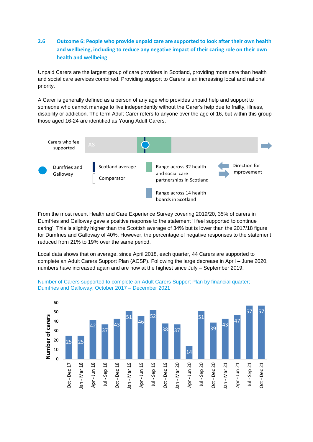#### <span id="page-14-0"></span>**2.6 Outcome 6: People who provide unpaid care are supported to look after their own health and wellbeing, including to reduce any negative impact of their caring role on their own health and wellbeing**

Unpaid Carers are the largest group of care providers in Scotland, providing more care than health and social care services combined. Providing support to Carers is an increasing local and national priority.

A Carer is generally defined as a person of any age who provides unpaid help and support to someone who cannot manage to live independently without the Carer's help due to frailty, illness, disability or addiction. The term Adult Carer refers to anyone over the age of 16, but within this group those aged 16-24 are identified as Young Adult Carers.



From the most recent Health and Care Experience Survey covering 2019/20, 35% of carers in Dumfries and Galloway gave a positive response to the statement 'I feel supported to continue caring'. This is slightly higher than the Scottish average of 34% but is lower than the 2017/18 figure for Dumfries and Galloway of 40%. However, the percentage of negative responses to the statement reduced from 21% to 19% over the same period.

Local data shows that on average, since April 2018, each quarter, 44 Carers are supported to complete an Adult Carers Support Plan (ACSP). Following the large decrease in April – June 2020, numbers have increased again and are now at the highest since July – September 2019.



Number of Carers supported to complete an Adult Carers Support Plan by financial quarter; Dumfries and Galloway; October 2017 – December 2021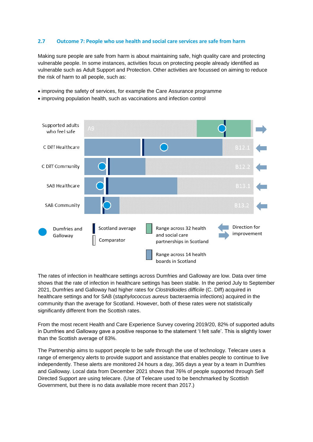#### <span id="page-15-0"></span>**2.7 Outcome 7: People who use health and social care services are safe from harm**

Making sure people are safe from harm is about maintaining safe, high quality care and protecting vulnerable people. In some instances, activities focus on protecting people already identified as vulnerable such as Adult Support and Protection. Other activities are focussed on aiming to reduce the risk of harm to all people, such as:

- improving the safety of services, for example the Care Assurance programme
- improving population health, such as vaccinations and infection control



The rates of infection in healthcare settings across Dumfries and Galloway are low. Data over time shows that the rate of infection in healthcare settings has been stable. In the period July to September 2021, Dumfries and Galloway had higher rates for *Clostridioides difficile* (C. Diff) acquired in healthcare settings and for SAB (*staphylococcus aureus* bacteraemia infections) acquired in the community than the average for Scotland. However, both of these rates were not statistically significantly different from the Scottish rates.

From the most recent Health and Care Experience Survey covering 2019/20, 82% of supported adults in Dumfries and Galloway gave a positive response to the statement 'I felt safe'. This is slightly lower than the Scottish average of 83%.

The Partnership aims to support people to be safe through the use of technology. Telecare uses a range of emergency alerts to provide support and assistance that enables people to continue to live independently. These alerts are monitored 24 hours a day, 365 days a year by a team in Dumfries and Galloway. Local data from December 2021 shows that 76% of people supported through Self Directed Support are using telecare. (Use of Telecare used to be benchmarked by Scottish Government, but there is no data available more recent than 2017.)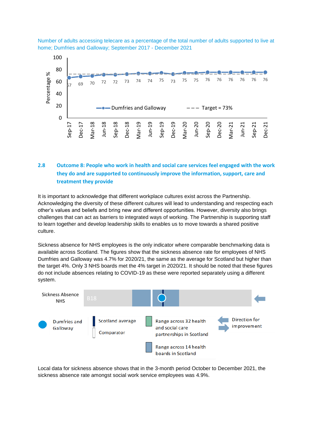Number of adults accessing telecare as a percentage of the total number of adults supported to live at home; Dumfries and Galloway; September 2017 - December 2021



#### <span id="page-16-0"></span>**2.8 Outcome 8: People who work in health and social care services feel engaged with the work they do and are supported to continuously improve the information, support, care and treatment they provide**

It is important to acknowledge that different workplace cultures exist across the Partnership. Acknowledging the diversity of these different cultures will lead to understanding and respecting each other's values and beliefs and bring new and different opportunities. However, diversity also brings challenges that can act as barriers to integrated ways of working. The Partnership is supporting staff to learn together and develop leadership skills to enables us to move towards a shared positive culture.

Sickness absence for NHS employees is the only indicator where comparable benchmarking data is available across Scotland. The figures show that the sickness absence rate for employees of NHS Dumfries and Galloway was 4.7% for 2020/21, the same as the average for Scotland but higher than the target 4%. Only 3 NHS boards met the 4% target in 2020/21. It should be noted that these figures do not include absences relating to COVID-19 as these were reported separately using a different system.



Local data for sickness absence shows that in the 3-month period October to December 2021, the sickness absence rate amongst social work service employees was 4.9%.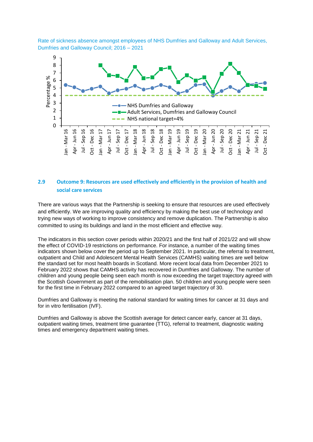Rate of sickness absence amongst employees of NHS Dumfries and Galloway and Adult Services, Dumfries and Galloway Council; 2016 – 2021



#### <span id="page-17-0"></span>**2.9 Outcome 9: Resources are used effectively and efficiently in the provision of health and social care services**

There are various ways that the Partnership is seeking to ensure that resources are used effectively and efficiently. We are improving quality and efficiency by making the best use of technology and trying new ways of working to improve consistency and remove duplication. The Partnership is also committed to using its buildings and land in the most efficient and effective way.

The indicators in this section cover periods within 2020/21 and the first half of 2021/22 and will show the effect of COVID-19 restrictions on performance. For instance, a number of the waiting times indicators shown below cover the period up to September 2021. In particular, the referral to treatment, outpatient and Child and Adolescent Mental Health Services (CAMHS) waiting times are well below the standard set for most health boards in Scotland. More recent local data from December 2021 to February 2022 shows that CAMHS activity has recovered in Dumfries and Galloway. The number of children and young people being seen each month is now exceeding the target trajectory agreed with the Scottish Government as part of the remobilisation plan. 50 children and young people were seen for the first time in February 2022 compared to an agreed target trajectory of 30.

Dumfries and Galloway is meeting the national standard for waiting times for cancer at 31 days and for in vitro fertilisation (IVF).

Dumfries and Galloway is above the Scottish average for detect cancer early, cancer at 31 days, outpatient waiting times, treatment time guarantee (TTG), referral to treatment, diagnostic waiting times and emergency department waiting times.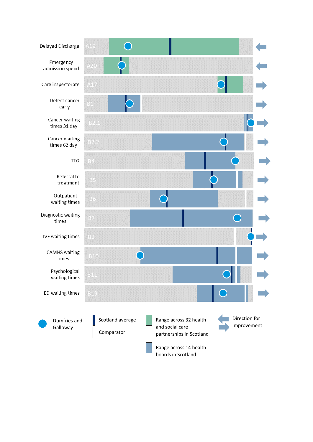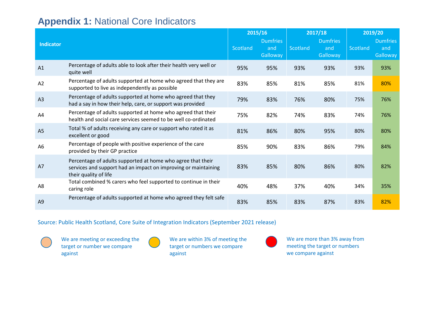## **Appendix 1:** National Core Indicators

|                  |                                                                                                                                                        |          | 2015/16                            |          | 2017/18                            |          | 2019/20                            |
|------------------|--------------------------------------------------------------------------------------------------------------------------------------------------------|----------|------------------------------------|----------|------------------------------------|----------|------------------------------------|
| <b>Indicator</b> |                                                                                                                                                        | Scotland | <b>Dumfries</b><br>and<br>Galloway | Scotland | <b>Dumfries</b><br>and<br>Galloway | Scotland | <b>Dumfries</b><br>and<br>Galloway |
| A1               | Percentage of adults able to look after their health very well or<br>quite well                                                                        | 95%      | 95%                                | 93%      | 93%                                | 93%      | 93%                                |
| A2               | Percentage of adults supported at home who agreed that they are<br>supported to live as independently as possible                                      | 83%      | 85%                                | 81%      | 85%                                | 81%      | 80%                                |
| A <sub>3</sub>   | Percentage of adults supported at home who agreed that they<br>had a say in how their help, care, or support was provided                              | 79%      | 83%                                | 76%      | 80%                                | 75%      | 76%                                |
| A4               | Percentage of adults supported at home who agreed that their<br>health and social care services seemed to be well co-ordinated                         | 75%      | 82%                                | 74%      | 83%                                | 74%      | 76%                                |
| A <sub>5</sub>   | Total % of adults receiving any care or support who rated it as<br>excellent or good                                                                   | 81%      | 86%                                | 80%      | 95%                                | 80%      | 80%                                |
| A <sub>6</sub>   | Percentage of people with positive experience of the care<br>provided by their GP practice                                                             | 85%      | 90%                                | 83%      | 86%                                | 79%      | 84%                                |
| A7               | Percentage of adults supported at home who agree that their<br>services and support had an impact on improving or maintaining<br>their quality of life | 83%      | 85%                                | 80%      | 86%                                | 80%      | 82%                                |
| A <sub>8</sub>   | Total combined % carers who feel supported to continue in their<br>caring role                                                                         | 40%      | 48%                                | 37%      | 40%                                | 34%      | 35%                                |
| A <sub>9</sub>   | Percentage of adults supported at home who agreed they felt safe                                                                                       | 83%      | 85%                                | 83%      | 87%                                | 83%      | 82%                                |

<span id="page-19-0"></span>Source: Public Health Scotland, Core Suite of Integration Indicators (September 2021 release)



We are meeting or exceeding the target or number we compare against

We are within 3% of meeting the target or numbers we compare against

We are more than 3% away from meeting the target or numbers we compare against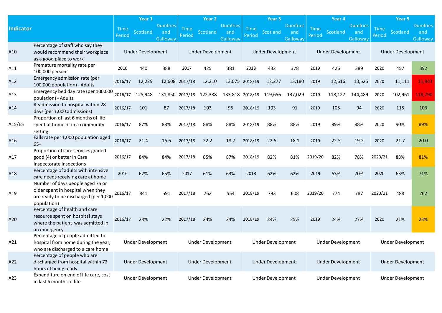|                  |                                                                                                                               |                | Year 1<br>Year <sub>2</sub><br>Year <sub>3</sub><br>Year 4 |                                    |                       | Year 5                   |                                    |                       |                          |                                    |                       |                          |                                    |                       |                          |                                    |
|------------------|-------------------------------------------------------------------------------------------------------------------------------|----------------|------------------------------------------------------------|------------------------------------|-----------------------|--------------------------|------------------------------------|-----------------------|--------------------------|------------------------------------|-----------------------|--------------------------|------------------------------------|-----------------------|--------------------------|------------------------------------|
| <b>Indicator</b> |                                                                                                                               | Time<br>Period | Scotland                                                   | <b>Dumfries</b><br>and<br>Galloway | <b>Time</b><br>Period | <b>Scotland</b>          | <b>Dumfries</b><br>and<br>Galloway | <b>Time</b><br>Period | Scotland                 | <b>Dumfries</b><br>and<br>Galloway | <b>Time</b><br>Period | Scotland                 | <b>Dumfries</b><br>and<br>Galloway | <b>Time</b><br>Period | Scotland                 | <b>Dumfries</b><br>and<br>Galloway |
| A10              | Percentage of staff who say they<br>would recommend their workplace<br>as a good place to work                                |                | <b>Under Development</b>                                   |                                    |                       | <b>Under Development</b> |                                    |                       | <b>Under Development</b> |                                    |                       | <b>Under Development</b> |                                    |                       | <b>Under Development</b> |                                    |
| A11              | Premature mortality rate per<br>100,000 persons                                                                               | 2016           | 440                                                        | 388                                | 2017                  | 425                      | 381                                | 2018                  | 432                      | 378                                | 2019                  | 426                      | 389                                | 2020                  | 457                      | 392                                |
| A12              | Emergency admission rate (per<br>100,000 population) - Adults                                                                 | 2016/17        | 12,229                                                     |                                    | 12,608 2017/18        | 12,210                   | 13,075                             | 2018/19               | 12,277                   | 13,180                             | 2019                  | 12,616                   | 13,525                             | 2020                  | 11,111                   | 11,843                             |
| A13              | Emergency bed day rate (per 100,000<br>poulation) - Adults                                                                    | 2016/17        | 125,948                                                    |                                    |                       | 131,850 2017/18 122,388  | 133,818 2018/19                    |                       | 119,656                  | 137,029                            | 2019                  | 118,127                  | 144,489                            | 2020                  | 102,961                  | 118,790                            |
| A14              | Readmission to hospital within 28<br>days (per 1,000 admissions)                                                              | 2016/17        | 101                                                        | 87                                 | 2017/18               | 103                      | 95                                 | 2018/19               | 103                      | 91                                 | 2019                  | 105                      | 94                                 | 2020                  | 115                      | 103                                |
| A15/E5           | Proportion of last 6 months of life<br>spent at home or in a community<br>setting                                             | 2016/17        | 87%                                                        | 88%                                | 2017/18               | 88%                      | 88%                                | 2018/19               | 88%                      | 88%                                | 2019                  | 89%                      | 88%                                | 2020                  | 90%                      | 89%                                |
| A16              | Falls rate per 1,000 population aged<br>$65+$                                                                                 | 2016/17        | 21.4                                                       | 16.6                               | 2017/18               | 22.2                     | 18.7                               | 2018/19               | 22.5                     | 18.1                               | 2019                  | 22.5                     | 19.2                               | 2020                  | 21.7                     | 20.0                               |
| A17              | Proportion of care services graded<br>good (4) or better in Care<br>Inspectorate inspections                                  | 2016/17        | 84%                                                        | 84%                                | 2017/18               | 85%                      | 87%                                | 2018/19               | 82%                      | 81%                                | 2019/20               | 82%                      | 78%                                | 2020/21               | 83%                      | 81%                                |
| A18              | Percentage of adults with intensive<br>care needs receiving care at home                                                      | 2016           | 62%                                                        | 65%                                | 2017                  | 61%                      | 63%                                | 2018                  | 62%                      | 62%                                | 2019                  | 63%                      | 70%                                | 2020                  | 63%                      | 71%                                |
| A19              | Number of days people aged 75 or<br>older spent in hospital when they<br>are ready to be discharged (per 1,000<br>population) | 2016/17        | 841                                                        | 591                                | 2017/18               | 762                      | 554                                | 2018/19               | 793                      | 608                                | 2019/20               | 774                      | 787                                | 2020/21               | 488                      | 262                                |
| A20              | Percentage of health and care<br>resource spent on hospital stays<br>where the patient was admitted in<br>an emergency        | 2016/17        | 23%                                                        | 22%                                | 2017/18               | 24%                      | 24%                                | 2018/19               | 24%                      | 25%                                | 2019                  | 24%                      | 27%                                | 2020                  | 21%                      | 23%                                |
| A21              | Percentage of people admitted to<br>hospital from home during the year,<br>who are discharged to a care home                  |                | Under Development                                          |                                    |                       | Under Development        |                                    |                       | Under Development        |                                    |                       | Under Development        |                                    |                       | Under Development        |                                    |
| A22              | Percentage of people who are<br>discharged from hospital within 72<br>hours of being ready                                    |                | Under Development                                          |                                    |                       | Under Development        |                                    |                       | Under Development        |                                    |                       | Under Development        |                                    |                       | <b>Under Development</b> |                                    |
| A23              | Expenditure on end of life care, cost<br>in last 6 months of life                                                             |                | Under Development                                          |                                    |                       | <b>Under Development</b> |                                    |                       | Under Development        |                                    |                       | <b>Under Development</b> |                                    |                       | <b>Under Development</b> |                                    |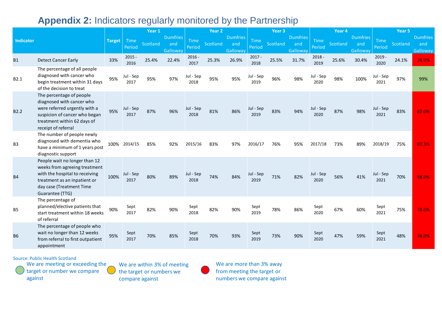# **Appendix 2:** Indicators regularly monitored by the Partnership

|                  |                                                                                                                                                                                 |               |                       | Year 1   |                                    |                       | Year <sub>2</sub> |                                           |                       | Year <sub>3</sub> |                                    |                   | Year 4   |                                    |                   | Year 5   |                                           |
|------------------|---------------------------------------------------------------------------------------------------------------------------------------------------------------------------------|---------------|-----------------------|----------|------------------------------------|-----------------------|-------------------|-------------------------------------------|-----------------------|-------------------|------------------------------------|-------------------|----------|------------------------------------|-------------------|----------|-------------------------------------------|
| <b>Indicator</b> |                                                                                                                                                                                 | <b>Target</b> | <b>Time</b><br>Period | Scotland | <b>Dumfries</b><br>and<br>Galloway | <b>Time</b><br>Period | Scotland          | <b>Dumfries</b><br>and<br><b>Galloway</b> | <b>Time</b><br>Period | Scotland          | <b>Dumfries</b><br>and<br>Galloway | Time<br>Period    | Scotland | <b>Dumfries</b><br>and<br>Galloway | Time<br>Period    | Scotland | <b>Dumfries</b><br>and<br><b>Galloway</b> |
| <b>B1</b>        | <b>Detect Cancer Early</b>                                                                                                                                                      | 33%           | $2015 -$<br>2016      | 25.4%    | 22.4%                              | $2016 -$<br>2017      | 25.3%             | 26.9%                                     | $2017 -$<br>2018      | 25.5%             | 31.7%                              | $2018 -$<br>2019  | 25.6%    | 30.4%                              | $2019 -$<br>2020  | 24.1%    | 26.9%                                     |
| B2.1             | The percentage of all people<br>diagnosed with cancer who<br>begin treatment within 31 days<br>of the decision to treat                                                         | 95%           | Jul - Sep<br>2017     | 95%      | 97%                                | Jul - Sep<br>2018     | 95%               | 95%                                       | Jul - Sep<br>2019     | 96%               | 98%                                | Jul - Sep<br>2020 | 98%      | 100%                               | Jul - Sep<br>2021 | 97%      | 99%                                       |
| B <sub>2.2</sub> | The percentage of people<br>diagnosed with cancer who<br>were referred urgently with a<br>suspicion of cancer who began<br>treatment within 62 days of<br>receipt of referral   | 95%           | Jul - Sep<br>2017     | 87%      | 96%                                | Jul - Sep<br>2018     | 81%               | 86%                                       | Jul - Sep<br>2019     | 83%               | 94%                                | Jul - Sep<br>2020 | 87%      | 98%                                | Jul - Sep<br>2021 | 83%      | 82.6%                                     |
| B <sub>3</sub>   | The number of people newly<br>diagnosed with dementia who<br>have a minimum of 1 years post<br>diagnostic support                                                               |               | 100% 2014/15          | 85%      | 92%                                | 2015/16               | 83%               | 97%                                       | 2016/17               | 76%               | 95%                                | 2017/18           | 73%      | 89%                                | 2018/19           | 75%      | 87.3%                                     |
| <b>B4</b>        | People wait no longer than 12<br>weeks from agreeing treatment<br>with the hospital to receiving<br>treatment as an inpatient or<br>day case (Treatment Time<br>Guarantee (TTG) | 100%          | Jul - Sep<br>2017     | 80%      | 89%                                | Jul - Sep<br>2018     | 74%               | 84%                                       | Jul - Sep<br>2019     | 71%               | 82%                                | Jul - Sep<br>2020 | 56%      | 41%                                | Jul - Sep<br>2021 | 70%      | 88.8%                                     |
| <b>B5</b>        | The percentage of<br>planned/elective patients that<br>start treatment within 18 weeks<br>of referral                                                                           | 90%           | Sept<br>2017          | 82%      | 90%                                | Sept<br>2018          | 82%               | 90%                                       | Sept<br>2019          | 78%               | 86%                                | Sept<br>2020      | 67%      | 60%                                | Sept<br>2021      | 75%      | 76.6%                                     |
| <b>B6</b>        | The percentage of people who<br>wait no longer than 12 weeks<br>from referral to first outpatient<br>appointment                                                                | 95%           | Sept<br>2017          | 70%      | 85%                                | Sept<br>2018          | 70%               | 93%                                       | Sept<br>2019          | 73%               | 90%                                | Sept<br>2020      | 47%      | 59%                                | Sept<br>2021      | 48%      | 46.9%                                     |

<span id="page-21-0"></span>Source: Public Health Scotland



We are within 3% of meeting the target or numbers we compare against

We are more than 3% away from meeting the target or numbers we compare against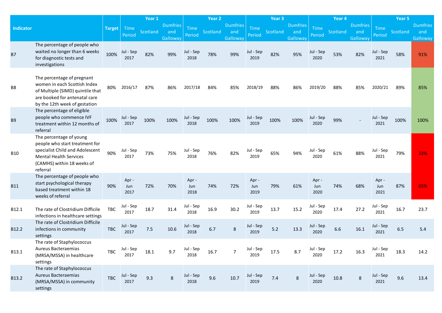|                  |                                                                                                                                                                         |               |                     | Year 1   |                                    |                     | Year <sub>2</sub> |                                    |                       | Year <sub>3</sub> |                                    |                       | Year <sub>4</sub> |                                           |                       | Year 5   |                                    |
|------------------|-------------------------------------------------------------------------------------------------------------------------------------------------------------------------|---------------|---------------------|----------|------------------------------------|---------------------|-------------------|------------------------------------|-----------------------|-------------------|------------------------------------|-----------------------|-------------------|-------------------------------------------|-----------------------|----------|------------------------------------|
| <b>Indicator</b> |                                                                                                                                                                         | <b>Target</b> | Time<br>Period      | Scotland | <b>Dumfries</b><br>and<br>Galloway | Time<br>Period      | Scotland          | <b>Dumfries</b><br>and<br>Galloway | <b>Time</b><br>Period | Scotland          | <b>Dumfries</b><br>and<br>Galloway | <b>Time</b><br>Period | Scotland          | <b>Dumfries</b><br>and<br><b>Galloway</b> | <b>Time</b><br>Period | Scotland | <b>Dumfries</b><br>and<br>Galloway |
| <b>B7</b>        | The percentage of people who<br>waited no longer than 6 weeks<br>for diagnostic tests and<br>investigations                                                             | 100%          | Jul - Sep<br>2017   | 82%      | 99%                                | Jul - Sep<br>2018   | 78%               | 99%                                | Jul - Sep<br>2019     | 82%               | 95%                                | Jul - Sep<br>2020     | 53%               | 82%                                       | Jul - Sep<br>2021     | 58%      | 91%                                |
| B <sub>8</sub>   | The percentage of pregnant<br>women in each Scottish Index<br>of Multiple (SIMD) quintile that<br>are booked for antenatal care<br>by the 12th week of gestation        | 80%           | 2016/17             | 87%      | 86%                                | 2017/18             | 84%               | 85%                                | 2018/19               | 88%               | 86%                                | 2019/20               | 88%               | 85%                                       | 2020/21               | 89%      | 85%                                |
| <b>B9</b>        | The percentage of eligible<br>people who commence IVF<br>treatment within 12 months of<br>referral                                                                      | 100%          | Jul - Sep<br>2017   | 100%     | 100%                               | Jul - Sep<br>2018   | 100%              | 100%                               | Jul - Sep<br>2019     | 100%              | 100%                               | Jul - Sep<br>2020     | 99%               |                                           | Jul - Sep<br>2021     | 100%     | 100%                               |
| <b>B10</b>       | The percentage of young<br>people who start treatment for<br>specialist Child and Adolescent<br><b>Mental Health Services</b><br>(CAMHS) within 18 weeks of<br>referral | 90%           | Jul - Sep<br>2017   | 73%      | 75%                                | Jul - Sep<br>2018   | 76%               | 82%                                | Jul - Sep<br>2019     | 65%               | 94%                                | Jul - Sep<br>2020     | 61%               | 88%                                       | Jul - Sep<br>2021     | 79%      | 33%                                |
| <b>B11</b>       | The percentage of people who<br>start psychological therapy<br>based treatment within 18<br>weeks of referral                                                           | 90%           | Apr-<br>Jun<br>2017 | 72%      | 70%                                | Apr-<br>Jun<br>2018 | 74%               | 72%                                | Apr -<br>Jun<br>2019  | 79%               | 61%                                | Apr -<br>Jun<br>2020  | 74%               | 68%                                       | Apr -<br>Jun<br>2021  | 87%      | 85%                                |
| B12.1            | The rate of Clostridium Difficile<br>infections in healthcare settings                                                                                                  | TBC           | Jul - Sep<br>2017   | 18.7     | 31.4                               | Jul - Sep<br>2018   | 16.9              | 30.2                               | Jul - Sep<br>2019     | 13.7              | 15.2                               | Jul - Sep<br>2020     | 17.4              | 27.2                                      | Jul - Sep<br>2021     | 16.7     | 23.7                               |
| B12.2            | The rate of Clostridium Difficile<br>infections in community<br>settings                                                                                                | <b>TBC</b>    | Jul - Sep<br>2017   | $7.5$    | 10.6                               | Jul - Sep<br>2018   | 6.7               | 8                                  | Jul - Sep<br>2019     | 5.2               | 13.3                               | Jul - Sep<br>2020     | 6.6               | 16.1                                      | Jul - Sep<br>2021     | 6.5      | 5.4                                |
| B13.1            | The rate of Staphylococcus<br>Aureus Bacteraemias<br>(MRSA/MSSA) in healthcare<br>settings                                                                              | TBC           | Jul - Sep<br>2017   | 18.1     | 9.7                                | Jul - Sep<br>2018   | 16.7              | 7                                  | Jul - Sep<br>2019     | 17.5              | 8.7                                | Jul - Sep<br>2020     | 17.2              | 16.3                                      | Jul - Sep<br>2021     | 18.3     | 14.2                               |
| B13.2            | The rate of Staphylococcus<br>Aureus Bacteraemias<br>(MRSA/MSSA) in community<br>settings                                                                               | <b>TBC</b>    | Jul - Sep<br>2017   | 9.3      | $\,8\,$                            | Jul - Sep<br>2018   | 9.6               | 10.7                               | Jul - Sep<br>2019     | 7.4               | 8                                  | Jul - Sep<br>2020     | 10.8              | 8                                         | Jul - Sep<br>2021     | 9.6      | 13.4                               |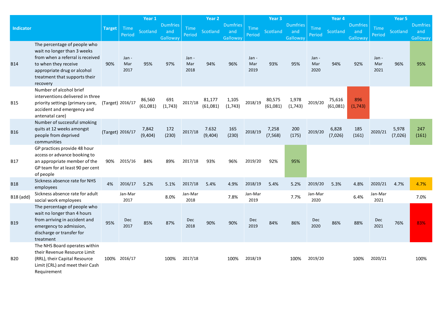|                  |                                                                                                                                                                                                     |               |                      | Year 1             |                                    |                      | Year <sub>2</sub>  |                                           |                       | Year <sub>3</sub>  |                                           |                       | Year <sub>4</sub>  |                                                |                      | Year 5           |                                    |
|------------------|-----------------------------------------------------------------------------------------------------------------------------------------------------------------------------------------------------|---------------|----------------------|--------------------|------------------------------------|----------------------|--------------------|-------------------------------------------|-----------------------|--------------------|-------------------------------------------|-----------------------|--------------------|------------------------------------------------|----------------------|------------------|------------------------------------|
| <b>Indicator</b> |                                                                                                                                                                                                     | <b>Target</b> | Time<br>Period       | Scotland           | <b>Dumfries</b><br>and<br>Galloway | Time<br>Period       | Scotland           | <b>Dumfries</b><br>and<br><b>Galloway</b> | <b>Time</b><br>Period | Scotland           | <b>Dumfries</b><br>and<br><b>Galloway</b> | <b>Time</b><br>Period | Scotland           | <b>Dumfries</b><br>and<br>Gallowa <sup>v</sup> | Time<br>Period       | Scotland         | <b>Dumfries</b><br>and<br>Galloway |
| <b>B14</b>       | The percentage of people who<br>wait no longer than 3 weeks<br>from when a referral is received<br>to when they receive<br>appropriate drug or alcohol<br>treatment that supports their<br>recovery | 90%           | Jan -<br>Mar<br>2017 | 95%                | 97%                                | Jan -<br>Mar<br>2018 | 94%                | 96%                                       | Jan -<br>Mar<br>2019  | 93%                | 95%                                       | Jan -<br>Mar<br>2020  | 94%                | 92%                                            | Jan -<br>Mar<br>2021 | 96%              | 95%                                |
| <b>B15</b>       | Number of alcohol brief<br>interventions delivered in three<br>priority settings (primary care,<br>accident and emergency and<br>antenatal care)                                                    |               | (Target) 2016/17     | 86,560<br>(61,081) | 691<br>(1, 743)                    | 2017/18              | 81,177<br>(61,081) | 1,105<br>(1,743)                          | 2018/19               | 80,575<br>(61,081) | 1,978<br>(1, 743)                         | 2019/20               | 75,616<br>(61,081) | 896<br>(1, 743)                                |                      |                  |                                    |
| <b>B16</b>       | Number of successful smoking<br>quits at 12 weeks amongst<br>people from deprived<br>communities                                                                                                    |               | (Target) 2016/17     | 7,842<br>(9,404)   | 172<br>(230)                       | 2017/18              | 7.632<br>(9,404)   | 165<br>(230)                              | 2018/19               | 7,258<br>(7, 568)  | 200<br>(175)                              | 2019/20               | 6,828<br>(7,026)   | 185<br>(161)                                   | 2020/21              | 5,978<br>(7,026) | 247<br>(161)                       |
| <b>B17</b>       | GP practices provide 48 hour<br>access or advance booking to<br>an appropriate member of the<br>GP team for at least 90 per cent<br>of people                                                       | 90%           | 2015/16              | 84%                | 89%                                | 2017/18              | 93%                | 96%                                       | 2019/20               | 92%                | 95%                                       |                       |                    |                                                |                      |                  |                                    |
| <b>B18</b>       | Sickness absence rate for NHS<br>employees                                                                                                                                                          | 4%            | 2016/17              | 5.2%               | 5.1%                               | 2017/18              | 5.4%               | 4.9%                                      | 2018/19               | 5.4%               | 5.2%                                      | 2019/20               | 5.3%               | 4.8%                                           | 2020/21              | 4.7%             | 4.7%                               |
| <b>B18</b> (add) | Sickness absence rate for adult<br>social work employees                                                                                                                                            |               | Jan-Mar<br>2017      |                    | 8.0%                               | Jan-Mar<br>2018      |                    | 7.8%                                      | Jan-Mar<br>2019       |                    | 7.7%                                      | Jan-Mar<br>2020       |                    | 6.4%                                           | Jan-Mar<br>2021      |                  | 7.0%                               |
| <b>B19</b>       | The percentage of people who<br>wait no longer than 4 hours<br>from arriving in accident and<br>emergency to admission,<br>discharge or transfer for<br>treatment                                   | 95%           | Dec<br>2017          | 85%                | 87%                                | Dec<br>2018          | 90%                | 90%                                       | Dec<br>2019           | 84%                | 86%                                       | Dec<br>2020           | 86%                | 88%                                            | Dec<br>2021          | 76%              | 83%                                |
| <b>B20</b>       | The NHS Board operates within<br>their Revenue Resource Limit<br>(RRL), their Capital Resource<br>Limit (CRL) and meet their Cash<br>Requirement                                                    |               | 100% 2016/17         |                    | 100%                               | 2017/18              |                    | 100%                                      | 2018/19               |                    | 100%                                      | 2019/20               |                    | 100%                                           | 2020/21              |                  | 100%                               |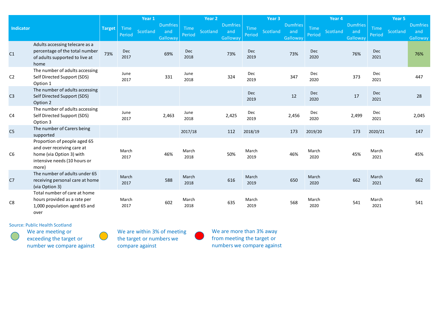|                  |                                                                                                                                 |        | Year 1         |          |                                    | Year <sub>2</sub> |          |                                    | Year 3         |          |                                    | Year 4                |          |                                    | Year 5             |          |                                           |
|------------------|---------------------------------------------------------------------------------------------------------------------------------|--------|----------------|----------|------------------------------------|-------------------|----------|------------------------------------|----------------|----------|------------------------------------|-----------------------|----------|------------------------------------|--------------------|----------|-------------------------------------------|
| <b>Indicator</b> |                                                                                                                                 | Target | Time<br>Period | Scotland | <b>Dumfries</b><br>and<br>Galloway | Time<br>Period    | Scotland | <b>Dumfries</b><br>and<br>Galloway | Time<br>Period | Scotland | <b>Dumfries</b><br>and<br>Galloway | <b>Time</b><br>Period | Scotland | <b>Dumfries</b><br>and<br>Galloway | Time<br>Period     | Scotland | <b>Dumfries</b><br>and<br><b>Galloway</b> |
| C <sub>1</sub>   | Adults accessing telecare as a<br>percentage of the total number<br>of adults supported to live at<br>home                      | 73%    | Dec<br>2017    |          | 69%                                | Dec<br>2018       |          | 73%                                | Dec<br>2019    |          | 73%                                | Dec<br>2020           |          | 76%                                | Dec<br>2021        |          | 76%                                       |
| C <sub>2</sub>   | The number of adults accessing<br>Self Directed Support (SDS)<br>Option 1                                                       |        | June<br>2017   |          | 331                                | June<br>2018      |          | 324                                | Dec<br>2019    |          | 347                                | Dec<br>2020           |          | 373                                | Dec<br>2021        |          | 447                                       |
| C <sub>3</sub>   | The number of adults accessing<br>Self Directed Support (SDS)<br>Option 2                                                       |        |                |          |                                    |                   |          |                                    | Dec<br>2019    |          | 12                                 | Dec<br>2020           |          | 17                                 | <b>Dec</b><br>2021 |          | 28                                        |
| C <sub>4</sub>   | The number of adults accessing<br>Self Directed Support (SDS)<br>Option 3                                                       |        | June<br>2017   |          | 2,463                              | June<br>2018      |          | 2,425                              | Dec<br>2019    |          | 2,456                              | Dec<br>2020           |          | 2,499                              | Dec<br>2021        |          | 2,045                                     |
| C <sub>5</sub>   | The number of Carers being<br>supported                                                                                         |        |                |          |                                    | 2017/18           |          | 112                                | 2018/19        |          | 173                                | 2019/20               |          | 173                                | 2020/21            |          | 147                                       |
| C <sub>6</sub>   | Proportion of people aged 65<br>and over receiving care at<br>home (via Option 3) with<br>intensive needs (10 hours or<br>more) |        | March<br>2017  |          | 46%                                | March<br>2018     |          | 50%                                | March<br>2019  |          | 46%                                | March<br>2020         |          | 45%                                | March<br>2021      |          | 45%                                       |
| C <sub>7</sub>   | The number of adults under 65<br>receiving personal care at home<br>(via Option 3)                                              |        | March<br>2017  |          | 588                                | March<br>2018     |          | 616                                | March<br>2019  |          | 650                                | March<br>2020         |          | 662                                | March<br>2021      |          | 662                                       |
| C <sub>8</sub>   | Total number of care at home<br>hours provided as a rate per<br>1,000 population aged 65 and<br>over                            |        | March<br>2017  |          | 602                                | March<br>2018     |          | 635                                | March<br>2019  |          | 568                                | March<br>2020         |          | 541                                | March<br>2021      |          | 541                                       |

Source: Public Health Scotland We are meeting or

exceeding the target or number we compare against We are within 3% of meeting the target or numbers we compare against

We are more than 3% away from meeting the target or numbers we compare against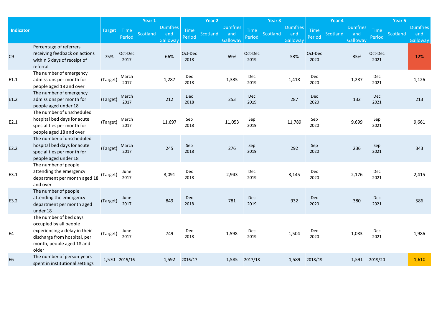|                  |                                                                                                                                                         |               |                 | Year 1                                         |                       | Year 2   |                                    |                    | Year <sub>3</sub> |                                    |                       | Year 4   |                                    |                       | Year 5   |                                    |
|------------------|---------------------------------------------------------------------------------------------------------------------------------------------------------|---------------|-----------------|------------------------------------------------|-----------------------|----------|------------------------------------|--------------------|-------------------|------------------------------------|-----------------------|----------|------------------------------------|-----------------------|----------|------------------------------------|
| <b>Indicator</b> |                                                                                                                                                         | <b>Target</b> | Time<br>Period  | <b>Dumfries</b><br>Scotland<br>and<br>Galloway | <b>Time</b><br>Period | Scotland | <b>Dumfries</b><br>and<br>Galloway | Time<br>Period     | Scotland          | <b>Dumfries</b><br>and<br>Galloway | <b>Time</b><br>Period | Scotland | <b>Dumfries</b><br>and<br>Galloway | <b>Time</b><br>Period | Scotland | <b>Dumfries</b><br>and<br>Galloway |
| C <sub>9</sub>   | Percentage of referrers<br>receiving feedback on actions<br>within 5 days of receipt of<br>referral                                                     | 75%           | Oct-Dec<br>2017 | 66%                                            | Oct-Dec<br>2018       |          | 69%                                | Oct-Dec<br>2019    |                   | 53%                                | Oct-Dec<br>2020       |          | 35%                                | Oct-Dec<br>2021       |          | 12%                                |
| E1.1             | The number of emergency<br>admissions per month for<br>people aged 18 and over                                                                          | (Target)      | March<br>2017   | 1,287                                          | Dec<br>2018           |          | 1,335                              | <b>Dec</b><br>2019 |                   | 1,418                              | Dec<br>2020           |          | 1,287                              | Dec<br>2021           |          | 1,126                              |
| E1.2             | The number of emergency<br>admissions per month for<br>people aged under 18                                                                             | (Target)      | March<br>2017   | 212                                            | Dec<br>2018           |          | 253                                | <b>Dec</b><br>2019 |                   | 287                                | <b>Dec</b><br>2020    |          | 132                                | Dec<br>2021           |          | 213                                |
| E2.1             | The number of unscheduled<br>hospital bed days for acute<br>specialities per month for<br>people aged 18 and over                                       | (Target)      | March<br>2017   | 11,697                                         | Sep<br>2018           |          | 11,053                             | Sep<br>2019        |                   | 11,789                             | Sep<br>2020           |          | 9,699                              | Sep<br>2021           |          | 9,661                              |
| E2.2             | The number of unscheduled<br>hospital bed days for acute<br>specialities per month for<br>people aged under 18                                          | (Target)      | March<br>2017   | 245                                            | Sep<br>2018           |          | 276                                | Sep<br>2019        |                   | 292                                | Sep<br>2020           |          | 236                                | Sep<br>2021           |          | 343                                |
| E3.1             | The number of people<br>attending the emergency<br>department per month aged 18<br>and over                                                             | (Target)      | June<br>2017    | 3,091                                          | Dec<br>2018           |          | 2,943                              | Dec<br>2019        |                   | 3,145                              | Dec<br>2020           |          | 2,176                              | Dec<br>2021           |          | 2,415                              |
| E3.2             | The number of people<br>attending the emergency<br>department per month aged<br>under 18                                                                | (Target)      | June<br>2017    | 849                                            | Dec<br>2018           |          | 781                                | <b>Dec</b><br>2019 |                   | 932                                | Dec<br>2020           |          | 380                                | Dec<br>2021           |          | 586                                |
| E4               | The number of bed days<br>occupied by all people<br>experiencing a delay in their<br>discharge from hospital, per<br>month, people aged 18 and<br>older | (Target)      | June<br>2017    | 749                                            | Dec<br>2018           |          | 1,598                              | Dec<br>2019        |                   | 1,504                              | Dec<br>2020           |          | 1,083                              | Dec<br>2021           |          | 1,986                              |
| E <sub>6</sub>   | The number of person-years<br>spent in institutional settings                                                                                           |               | 1,570 2015/16   | 1,592                                          | 2016/17               |          | 1,585                              | 2017/18            |                   | 1,589                              | 2018/19               |          | 1,591                              | 2019/20               |          | 1,610                              |
|                  |                                                                                                                                                         |               |                 |                                                |                       |          |                                    |                    |                   |                                    |                       |          |                                    |                       |          |                                    |